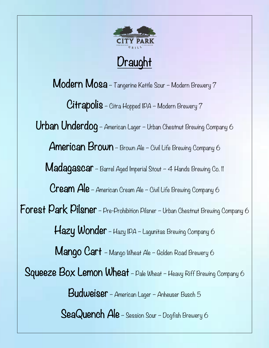

## Draught

Modern Mosa – Tangerine Kettle Sour – Modern Brewery <sup>7</sup> Citrapolis – Citra Hopped IPA – Modern Brewery 7 Urban Underdog – American Lager – Urban Chestnut Brewing Company 6 American Brown - Brown Ale - Civil Life Brewing Company 6 Madaqascar - Barrel Aged Imperial Stout - 4 Hands Brewing Co. II **Cream**  $\overline{A}$ **le** – American Cream Ale – Civil Life Brewing Company 6 Forest Park Pilsner - Pre-Prohibition Pilsner - Urban Chestnut Brewing Company 6 Hazy Wonder - Hazy IPA - Lagunitas Brewing Company 6 **Mango Cart** – Mango Wheat Ale – Golden Road Brewery 6 Squeeze Box Lemon Wheat - Pale Wheat - Heavy Riff Brewing Company 6 Budweiser – American Lager – Anheuser Busch 5 SeaQuench Ale - Session Sour - Dogfish Brewery 6